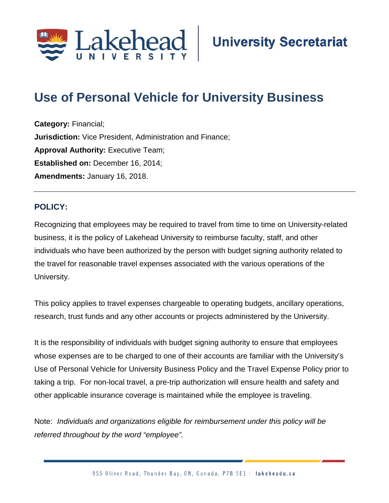

# **Use of Personal Vehicle for University Business;**

**Category:** Financial; **Jurisdiction:** Vice President, Administration and Finance; **Approval Authority: Executive Team; Established on:** December 16, 2014; **Amendments:** January 16, 2018.

## **POLICY:**

Recognizing that employees may be required to travel from time to time on University-related business, it is the policy of Lakehead University to reimburse faculty, staff, and other individuals who have been authorized by the person with budget signing authority related to the travel for reasonable travel expenses associated with the various operations of the University.

This policy applies to travel expenses chargeable to operating budgets, ancillary operations, research, trust funds and any other accounts or projects administered by the University.

It is the responsibility of individuals with budget signing authority to ensure that employees whose expenses are to be charged to one of their accounts are familiar with the University's Use of Personal Vehicle for University Business Policy and the Travel Expense Policy prior to taking a trip. For non-local travel, a pre-trip authorization will ensure health and safety and other applicable insurance coverage is maintained while the employee is traveling.

Note: *Individuals and organizations eligible for reimbursement under this policy will be referred throughout by the word "employee".*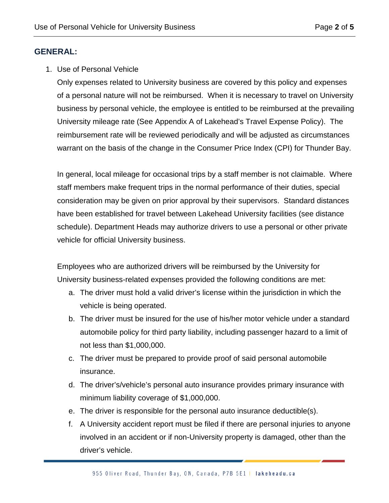## **GENERAL:**

1. Use of Personal Vehicle

Only expenses related to University business are covered by this policy and expenses of a personal nature will not be reimbursed. When it is necessary to travel on University business by personal vehicle, the employee is entitled to be reimbursed at the prevailing University mileage rate (See Appendix A of Lakehead's Travel Expense Policy). The reimbursement rate will be reviewed periodically and will be adjusted as circumstances warrant on the basis of the change in the Consumer Price Index (CPI) for Thunder Bay.

In general, local mileage for occasional trips by a staff member is not claimable. Where staff members make frequent trips in the normal performance of their duties, special consideration may be given on prior approval by their supervisors. Standard distances have been established for travel between Lakehead University facilities (see distance schedule). Department Heads may authorize drivers to use a personal or other private vehicle for official University business.

Employees who are authorized drivers will be reimbursed by the University for University business-related expenses provided the following conditions are met:

- a. The driver must hold a valid driver's license within the jurisdiction in which the vehicle is being operated.
- b. The driver must be insured for the use of his/her motor vehicle under a standard automobile policy for third party liability, including passenger hazard to a limit of not less than \$1,000,000.
- c. The driver must be prepared to provide proof of said personal automobile insurance.
- d. The driver's/vehicle's personal auto insurance provides primary insurance with minimum liability coverage of \$1,000,000.
- e. The driver is responsible for the personal auto insurance deductible(s).
- f. A University accident report must be filed if there are personal injuries to anyone involved in an accident or if non-University property is damaged, other than the driver's vehicle.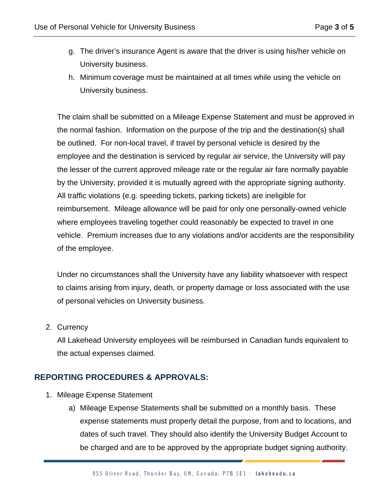- g. The driver's insurance Agent is aware that the driver is using his/her vehicle on University business.
- h. Minimum coverage must be maintained at all times while using the vehicle on University business.

The claim shall be submitted on a Mileage Expense Statement and must be approved in the normal fashion. Information on the purpose of the trip and the destination(s) shall be outlined. For non-local travel, if travel by personal vehicle is desired by the employee and the destination is serviced by regular air service, the University will pay the lesser of the current approved mileage rate or the regular air fare normally payable by the University, provided it is mutually agreed with the appropriate signing authority. All traffic violations (e.g. speeding tickets, parking tickets) are ineligible for reimbursement. Mileage allowance will be paid for only one personally-owned vehicle where employees traveling together could reasonably be expected to travel in one vehicle. Premium increases due to any violations and/or accidents are the responsibility of the employee.

Under no circumstances shall the University have any liability whatsoever with respect to claims arising from injury, death, or property damage or loss associated with the use of personal vehicles on University business.

#### 2. Currency

All Lakehead University employees will be reimbursed in Canadian funds equivalent to the actual expenses claimed.

#### **REPORTING PROCEDURES & APPROVALS:**

- 1. Mileage Expense Statement
	- a) Mileage Expense Statements shall be submitted on a monthly basis. These expense statements must properly detail the purpose, from and to locations, and dates of such travel. They should also identify the University Budget Account to be charged and are to be approved by the appropriate budget signing authority.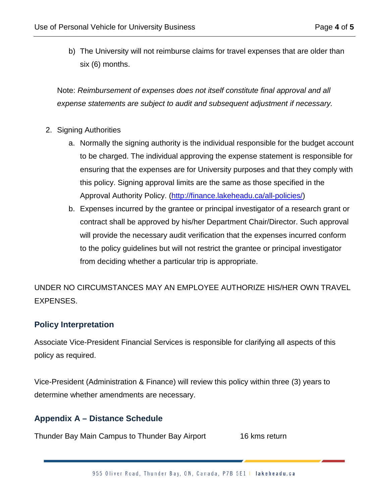b) The University will not reimburse claims for travel expenses that are older than six (6) months.

Note: *Reimbursement of expenses does not itself constitute final approval and all expense statements are subject to audit and subsequent adjustment if necessary.*

- 2. Signing Authorities
	- a. Normally the signing authority is the individual responsible for the budget account to be charged. The individual approving the expense statement is responsible for ensuring that the expenses are for University purposes and that they comply with this policy. Signing approval limits are the same as those specified in the Approval Authority Policy. [\(http://finance.lakeheadu.ca/all-policies/\)](http://finance.lakeheadu.ca/all-policies/)
	- b. Expenses incurred by the grantee or principal investigator of a research grant or contract shall be approved by his/her Department Chair/Director. Such approval will provide the necessary audit verification that the expenses incurred conform to the policy guidelines but will not restrict the grantee or principal investigator from deciding whether a particular trip is appropriate.

UNDER NO CIRCUMSTANCES MAY AN EMPLOYEE AUTHORIZE HIS/HER OWN TRAVEL EXPENSES.

# **Policy Interpretation**

Associate Vice-President Financial Services is responsible for clarifying all aspects of this policy as required.

Vice-President (Administration & Finance) will review this policy within three (3) years to determine whether amendments are necessary.

# **Appendix A – Distance Schedule**

Thunder Bay Main Campus to Thunder Bay Airport 16 kms return